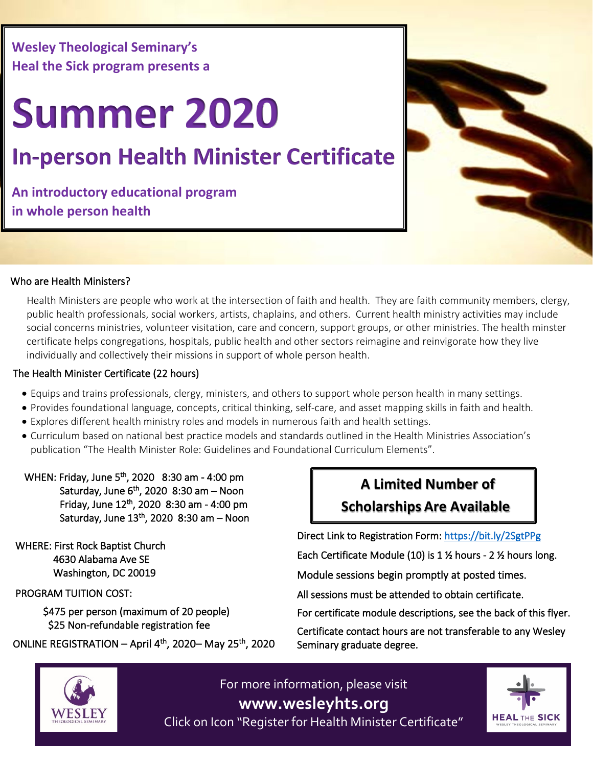**Wesley Theological Seminary's Heal the Sick program presents a**

## **Summer 2020**

## **In-person Health Minister Certificate**

**An introductory educational program in whole person health**



#### Who are Health Ministers?

 Health Ministers are people who work at the intersection of faith and health. They are faith community members, clergy, public health professionals, social workers, artists, chaplains, and others. Current health ministry activities may include social concerns ministries, volunteer visitation, care and concern, support groups, or other ministries. The health minster certificate helps congregations, hospitals, public health and other sectors reimagine and reinvigorate how they live individually and collectively their missions in support of whole person health.

#### The Health Minister Certificate (22 hours)

- Equips and trains professionals, clergy, ministers, and others to support whole person health in many settings.
- Provides foundational language, concepts, critical thinking, self-care, and asset mapping skills in faith and health.
- Explores different health ministry roles and models in numerous faith and health settings.
- Curriculum based on national best practice models and standards outlined in the Health Ministries Association's publication "The Health Minister Role: Guidelines and Foundational Curriculum Elements".

 WHEN: Friday, June 5th, 2020 8:30 am - 4:00 pm Saturday, June  $6<sup>th</sup>$ , 2020 8:30 am – Noon Friday, June 12th, 2020 8:30 am - 4:00 pm Saturday, June  $13<sup>th</sup>$ , 2020 8:30 am – Noon

 WHERE: First Rock Baptist Church 4630 Alabama Ave SE Washington, DC 20019

PROGRAM TUITION COST:

 \$475 per person (maximum of 20 people) \$25 Non-refundable registration fee

#### ONLINE REGISTRATION – April  $4<sup>th</sup>$ , 2020– May 25<sup>th</sup>, 2020

# WESLEY

For more information, please visit **www.wesleyhts.org** Click on Icon "Register for Health Minister Certificate"



### **A Limited Number of Scholarships Are Available**

Direct Link to Registration Form:<https://bit.ly/2SgtPPg>

Each Certificate Module (10) is 1 ½ hours - 2 ½ hours long.

Module sessions begin promptly at posted times.

All sessions must be attended to obtain certificate.

For certificate module descriptions, see the back of this flyer.

Certificate contact hours are not transferable to any Wesley Seminary graduate degree.